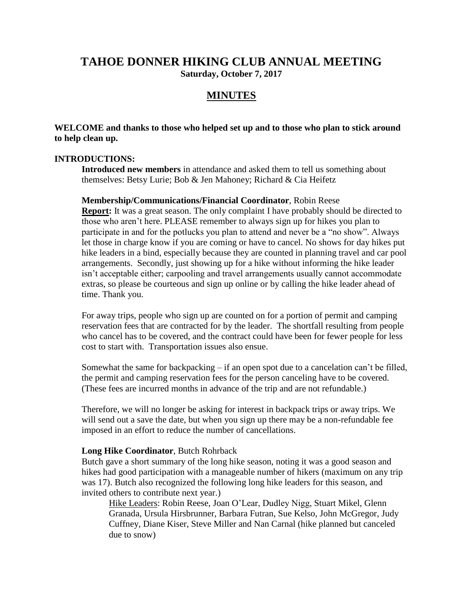# **TAHOE DONNER HIKING CLUB ANNUAL MEETING Saturday, October 7, 2017**

# **MINUTES**

**WELCOME and thanks to those who helped set up and to those who plan to stick around to help clean up.**

#### **INTRODUCTIONS:**

**Introduced new members** in attendance and asked them to tell us something about themselves: Betsy Lurie; Bob & Jen Mahoney; Richard & Cia Heifetz

#### **Membership/Communications/Financial Coordinator**, Robin Reese

**Report:** It was a great season. The only complaint I have probably should be directed to those who aren't here. PLEASE remember to always sign up for hikes you plan to participate in and for the potlucks you plan to attend and never be a "no show". Always let those in charge know if you are coming or have to cancel. No shows for day hikes put hike leaders in a bind, especially because they are counted in planning travel and car pool arrangements. Secondly, just showing up for a hike without informing the hike leader isn't acceptable either; carpooling and travel arrangements usually cannot accommodate extras, so please be courteous and sign up online or by calling the hike leader ahead of time. Thank you.

For away trips, people who sign up are counted on for a portion of permit and camping reservation fees that are contracted for by the leader. The shortfall resulting from people who cancel has to be covered, and the contract could have been for fewer people for less cost to start with. Transportation issues also ensue.

Somewhat the same for backpacking – if an open spot due to a cancelation can't be filled, the permit and camping reservation fees for the person canceling have to be covered. (These fees are incurred months in advance of the trip and are not refundable.)

Therefore, we will no longer be asking for interest in backpack trips or away trips. We will send out a save the date, but when you sign up there may be a non-refundable fee imposed in an effort to reduce the number of cancellations.

#### **Long Hike Coordinator**, Butch Rohrback

Butch gave a short summary of the long hike season, noting it was a good season and hikes had good participation with a manageable number of hikers (maximum on any trip was 17). Butch also recognized the following long hike leaders for this season, and invited others to contribute next year.)

Hike Leaders: Robin Reese, Joan O'Lear, Dudley Nigg, Stuart Mikel, Glenn Granada, Ursula Hirsbrunner, Barbara Futran, Sue Kelso, John McGregor, Judy Cuffney, Diane Kiser, Steve Miller and Nan Carnal (hike planned but canceled due to snow)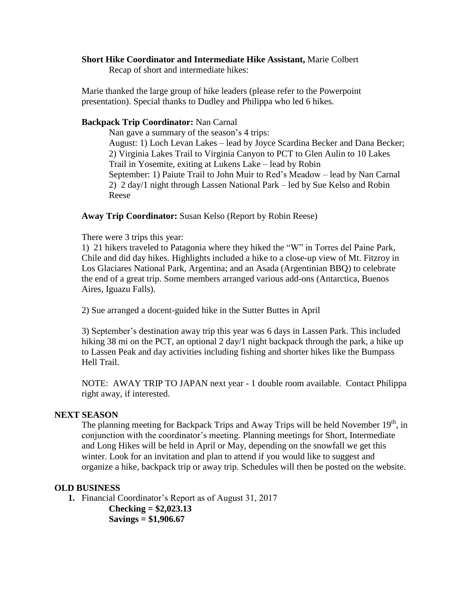### **Short Hike Coordinator and Intermediate Hike Assistant,** Marie Colbert

Recap of short and intermediate hikes:

Marie thanked the large group of hike leaders (please refer to the Powerpoint presentation). Special thanks to Dudley and Philippa who led 6 hikes.

#### **Backpack Trip Coordinator:** Nan Carnal

Nan gave a summary of the season's 4 trips: August: 1) Loch Levan Lakes – lead by Joyce Scardina Becker and Dana Becker; 2) Virginia Lakes Trail to Virginia Canyon to PCT to Glen Aulin to 10 Lakes Trail in Yosemite, exiting at Lukens Lake – lead by Robin September: 1) Paiute Trail to John Muir to Red's Meadow – lead by Nan Carnal 2) 2 day/1 night through Lassen National Park – led by Sue Kelso and Robin Reese

#### **Away Trip Coordinator:** Susan Kelso (Report by Robin Reese)

There were 3 trips this year:

1) 21 hikers traveled to Patagonia where they hiked the "W" in Torres del Paine Park, Chile and did day hikes. Highlights included a hike to a close-up view of Mt. Fitzroy in Los Glaciares National Park, Argentina; and an Asada (Argentinian BBQ) to celebrate the end of a great trip. Some members arranged various add-ons (Antarctica, Buenos Aires, Iguazu Falls).

2) Sue arranged a docent-guided hike in the Sutter Buttes in April

3) September's destination away trip this year was 6 days in Lassen Park. This included hiking 38 mi on the PCT, an optional 2 day/1 night backpack through the park, a hike up to Lassen Peak and day activities including fishing and shorter hikes like the Bumpass Hell Trail.

NOTE: AWAY TRIP TO JAPAN next year - 1 double room available. Contact Philippa right away, if interested.

### **NEXT SEASON**

The planning meeting for Backpack Trips and Away Trips will be held November  $19<sup>th</sup>$ , in conjunction with the coordinator's meeting. Planning meetings for Short, Intermediate and Long Hikes will be held in April or May, depending on the snowfall we get this winter. Look for an invitation and plan to attend if you would like to suggest and organize a hike, backpack trip or away trip. Schedules will then be posted on the website.

### **OLD BUSINESS**

**1.** Financial Coordinator's Report as of August 31, 2017

**Checking = \$2,023.13 Savings = \$1,906.67**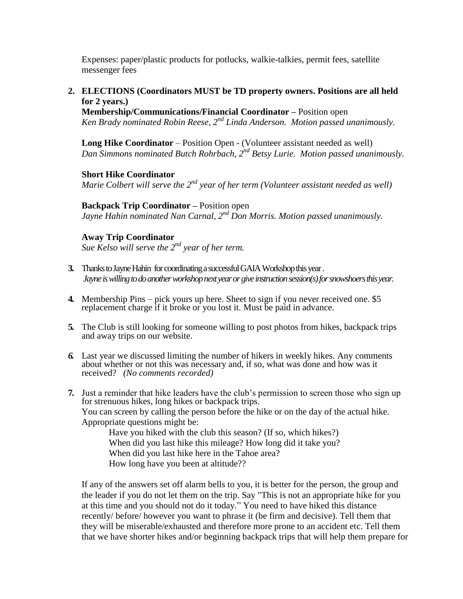Expenses: paper/plastic products for potlucks, walkie-talkies, permit fees, satellite messenger fees

## **2. ELECTIONS (Coordinators MUST be TD property owners. Positions are all held for 2 years.)**

**Membership/Communications/Financial Coordinator –** Position open *Ken Brady nominated Robin Reese, 2nd Linda Anderson. Motion passed unanimously.*

**Long Hike Coordinator** – Position Open - (Volunteer assistant needed as well) *Dan Simmons nominated Butch Rohrbach, 2 nd Betsy Lurie. Motion passed unanimously.*

**Short Hike Coordinator** *Marie Colbert will serve the 2nd year of her term (Volunteer assistant needed as well)*

**Backpack Trip Coordinator –** Position open *Jayne Hahin nominated Nan Carnal, 2nd Don Morris. Motion passed unanimously.*

## **Away Trip Coordinator**

*Sue Kelso will serve the 2nd year of her term.*

- **3.** Thanks to Jayne Hahin for coordinating asuccessful GAIA Workshop this year . *Jayne is willing to do another workshop next year or give instruction session(s) for snowshoers this year.*
- **4.** Membership Pins pick yours up here. Sheet to sign if you never received one. \$5 replacement charge if it broke or you lost it. Must be paid in advance.
- **5.** The Club is still looking for someone willing to post photos from hikes, backpack trips and away trips on our website.
- *6.* Last year we discussed limiting the number of hikers in weekly hikes. Any comments about whether or not this was necessary and, if so, what was done and how was it received? *(No comments recorded)*
- **7.** Just a reminder that hike leaders have the club's permission to screen those who sign up for strenuous hikes, long hikes or backpack trips. You can screen by calling the person before the hike or on the day of the actual hike. Appropriate questions might be:

Have you hiked with the club this season? (If so, which hikes?) When did you last hike this mileage? How long did it take you? When did you last hike here in the Tahoe area? How long have you been at altitude??

If any of the answers set off alarm bells to you, it is better for the person, the group and the leader if you do not let them on the trip. Say "This is not an appropriate hike for you at this time and you should not do it today." You need to have hiked this distance recently/ before/ however you want to phrase it (be firm and decisive). Tell them that they will be miserable/exhausted and therefore more prone to an accident etc. Tell them that we have shorter hikes and/or beginning backpack trips that will help them prepare for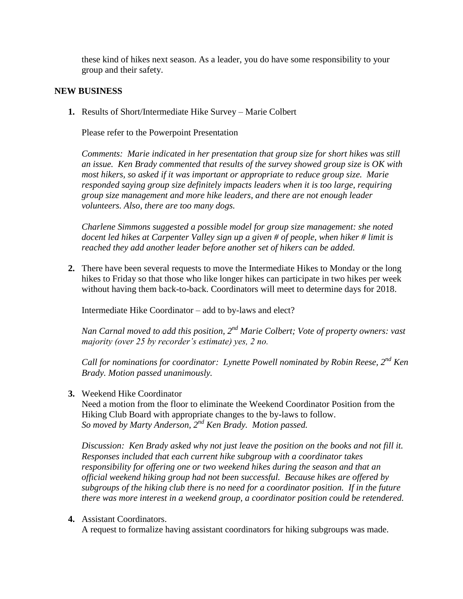these kind of hikes next season. As a leader, you do have some responsibility to your group and their safety.

#### **NEW BUSINESS**

**1.** Results of Short/Intermediate Hike Survey – Marie Colbert

Please refer to the Powerpoint Presentation

*Comments: Marie indicated in her presentation that group size for short hikes was still an issue. Ken Brady commented that results of the survey showed group size is OK with most hikers, so asked if it was important or appropriate to reduce group size. Marie responded saying group size definitely impacts leaders when it is too large, requiring group size management and more hike leaders, and there are not enough leader volunteers. Also, there are too many dogs.* 

*Charlene Simmons suggested a possible model for group size management: she noted docent led hikes at Carpenter Valley sign up a given # of people, when hiker # limit is reached they add another leader before another set of hikers can be added.*

**2.** There have been several requests to move the Intermediate Hikes to Monday or the long hikes to Friday so that those who like longer hikes can participate in two hikes per week without having them back-to-back. Coordinators will meet to determine days for 2018.

Intermediate Hike Coordinator – add to by-laws and elect?

*Nan Carnal moved to add this position, 2nd Marie Colbert; Vote of property owners: vast majority (over 25 by recorder's estimate) yes, 2 no.* 

*Call for nominations for coordinator: Lynette Powell nominated by Robin Reese, 2nd Ken Brady. Motion passed unanimously.*

**3.** Weekend Hike Coordinator

Need a motion from the floor to eliminate the Weekend Coordinator Position from the Hiking Club Board with appropriate changes to the by-laws to follow. *So moved by Marty Anderson, 2nd Ken Brady. Motion passed.*

*Discussion: Ken Brady asked why not just leave the position on the books and not fill it. Responses included that each current hike subgroup with a coordinator takes responsibility for offering one or two weekend hikes during the season and that an official weekend hiking group had not been successful. Because hikes are offered by subgroups of the hiking club there is no need for a coordinator position. If in the future there was more interest in a weekend group, a coordinator position could be retendered.*

**4.** Assistant Coordinators.

A request to formalize having assistant coordinators for hiking subgroups was made.